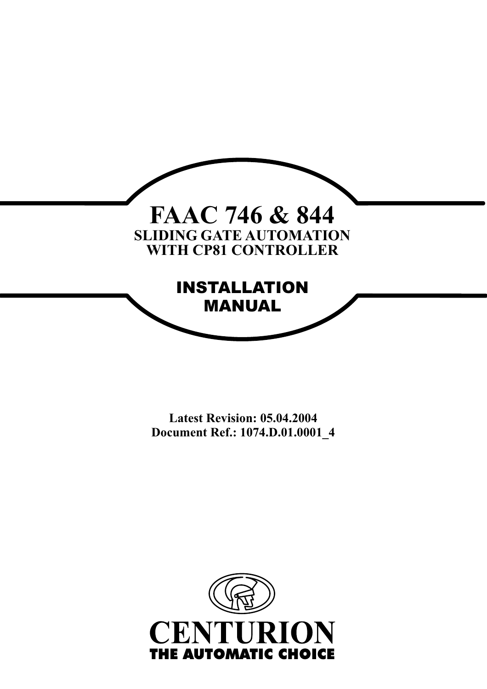

**Latest Revision: 05.04.2004 Document Ref.: 1074.D.01.0001\_4**

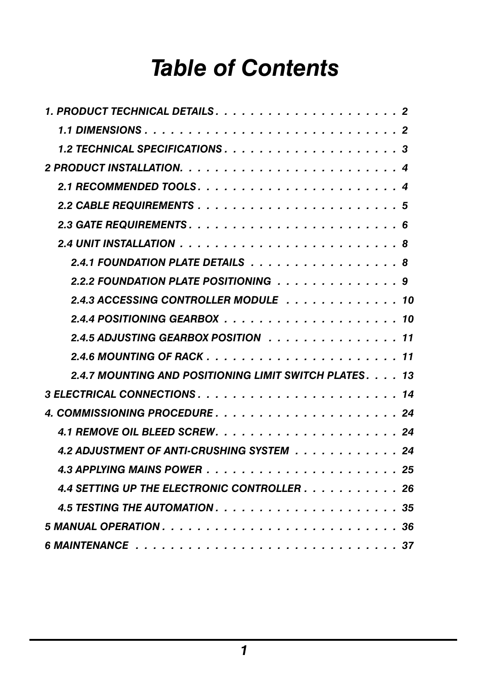# *Table of Contents*

| 2 PRODUCT INSTALLATION. $\ldots \ldots \ldots \ldots \ldots \ldots \ldots \ldots \ldots \ldots$ |  |
|-------------------------------------------------------------------------------------------------|--|
|                                                                                                 |  |
|                                                                                                 |  |
|                                                                                                 |  |
|                                                                                                 |  |
| 2.4.1 FOUNDATION PLATE DETAILS 8                                                                |  |
|                                                                                                 |  |
|                                                                                                 |  |
|                                                                                                 |  |
| 2.4.5 ADJUSTING GEARBOX POSITION 11                                                             |  |
|                                                                                                 |  |
| 2.4.7 MOUNTING AND POSITIONING LIMIT SWITCH PLATES. 13                                          |  |
|                                                                                                 |  |
|                                                                                                 |  |
|                                                                                                 |  |
| 4.2 ADJUSTMENT OF ANTI-CRUSHING SYSTEM 24                                                       |  |
|                                                                                                 |  |
| 4.4 SETTING UP THE ELECTRONIC CONTROLLER $\ldots$ 26                                            |  |
|                                                                                                 |  |
|                                                                                                 |  |
|                                                                                                 |  |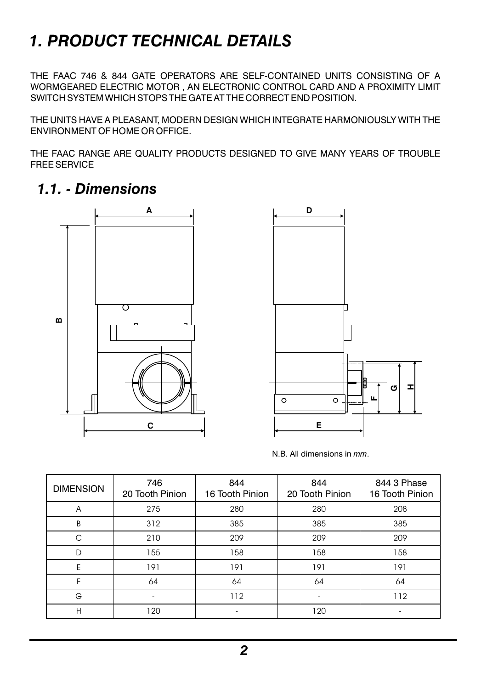# *1. PRODUCT TECHNICAL DETAILS*

THE FAAC 746 & 844 GATE OPERATORS ARE SELF-CONTAINED UNITS CONSISTING OF A WORMGEARED ELECTRIC MOTOR , AN ELECTRONIC CONTROL CARD AND A PROXIMITY LIMIT SWITCH SYSTEM WHICH STOPS THE GATE AT THE CORRECT END POSITION.

THE UNITS HAVE A PLEASANT, MODERN DESIGN WHICH INTEGRATE HARMONIOUSLY WITH THE ENVIRONMENT OF HOME OR OFFICE.

THE FAAC RANGE ARE QUALITY PRODUCTS DESIGNED TO GIVE MANY YEARS OF TROUBLE FREE SERVICE

### *1.1. - Dimensions*





N.B. All dimensions in *mm*.

| <b>DIMENSION</b> | 746<br>20 Tooth Pinion | 844<br>16 Tooth Pinion | 844<br>20 Tooth Pinion | 844 3 Phase<br>16 Tooth Pinion |
|------------------|------------------------|------------------------|------------------------|--------------------------------|
| Α                | 275                    | 280                    | 280                    | 208                            |
| B                | 312                    | 385                    | 385                    | 385                            |
| C                | 210                    | 209                    | 209                    | 209                            |
| D                | 155                    | 158                    | 158                    | 158                            |
| E                | 191                    | 191                    | 191                    | 191                            |
| F                | 64                     | 64                     | 64                     | 64                             |
| G                |                        | 112                    |                        | 112                            |
| H                | 120                    | ٠                      | 120                    | ۰                              |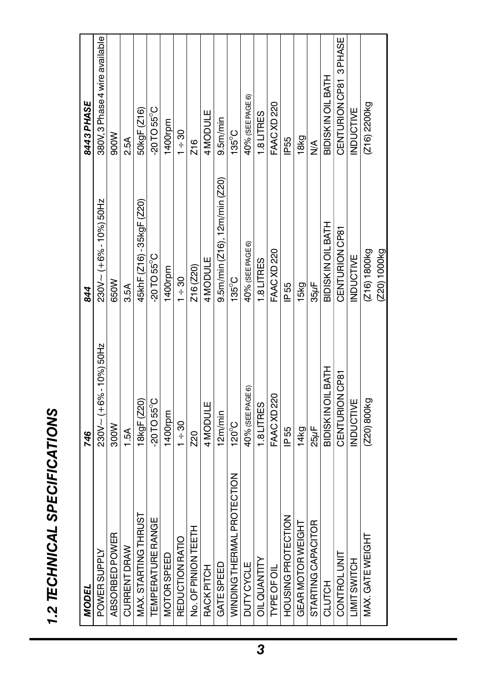| ĵ      |  |
|--------|--|
|        |  |
| ļ      |  |
|        |  |
|        |  |
|        |  |
|        |  |
|        |  |
|        |  |
|        |  |
|        |  |
|        |  |
|        |  |
|        |  |
|        |  |
|        |  |
|        |  |
|        |  |
|        |  |
|        |  |
|        |  |
|        |  |
|        |  |
|        |  |
|        |  |
| Ì      |  |
|        |  |
|        |  |
| I<br>i |  |
|        |  |
| Ï<br>f |  |

| MODEL                       | 746                     | 844                           | 8443 PHASE                     |
|-----------------------------|-------------------------|-------------------------------|--------------------------------|
| <b>POWER SUPPLY</b>         | 230V ~ (+6% - 10%) 50Hz | 230V ~ (+6% - 10%) 50Hz       | 380V, 3 Phase 4 wire available |
| ABSORBED POWER              | 300W                    | 650W                          | 900W                           |
| <b>CURRENT DRAW</b>         | 1.5A                    | 3.5A                          | 2.5A                           |
| MAX. STARTING THRUST        | 18kgF (Z20)             | 45khF (Z16) - 35kgF (Z20)     | 50kgF (Z16)                    |
| <b>TEMPERATURE RANGE</b>    | -20TO 55°C              | $-20$ TO 55°C                 | $-20$ TO 55 $^{\circ}$ C       |
| <b>MOTORSPEED</b>           | 1400rpm                 | 1400rpm                       | 1400rpm                        |
| REDUCTION RATIO             | $1 + 30$                | $1 + 30$                      | $1 + 30$                       |
| No. OF PINON TEETH          | 20                      | Z16 (Z20)                     | Z <sub>16</sub>                |
| <b>RACK PITCH</b>           | 4MODULE                 | 4MODULE                       | 4MODULE                        |
| GATE SPEED                  | 12m/min                 | 9.5m/min (Z16), 12m/min (Z20) | $9.5m$ min                     |
| WINDING THE RMAL PROTECTION | $120^{\circ}$ C         | $135^{\circ}$ C               | $135^{\circ}$ C                |
| <b>DUTY CYCLE</b>           | 40% (SEE PAGE 6)        | 40% (SEE PAGE 6)              | 40% (SEE PAGE 6)               |
| OIL QUANTITY                | 1.8 LITRES              | 1.8 LITRES                    | 1.8 LITRES                     |
| <b>TYPE OF OIL</b>          | <b>FAAC XD 220</b>      | FAACXD 220                    | FAACXD 220                     |
| HOUSING PROTECTION          | IP 55                   | IP 55                         | <b>P55</b>                     |
| GEAR MOTOR WEIGHT           | 14kg                    | 15kg                          | 18kg                           |
| STARTING CAPACITOR          | $25\mu$ F               | $35\mu$ F                     | ⋚                              |
| CLUTCH                      | BIDISK IN OIL BATH      | BIDISKIN OIL BATH             | BIDISKIN OIL BATH              |
| CONTROL UNIT                | CENTURION CP81          | CENTURION CP81                | CENTURION CP81 3 PHASE         |
| LIMIT SWITCH                | <b>INDUCTIVE</b>        | INDUCTIVE                     | <b>INDUCTIVE</b>               |
| MAX. GATE WEIGHT            | (Z20) 800kg             | (Z16) 1800kg                  | (Z16) 2200kg                   |
|                             |                         | (Z20) 1000kg                  |                                |
|                             |                         |                               |                                |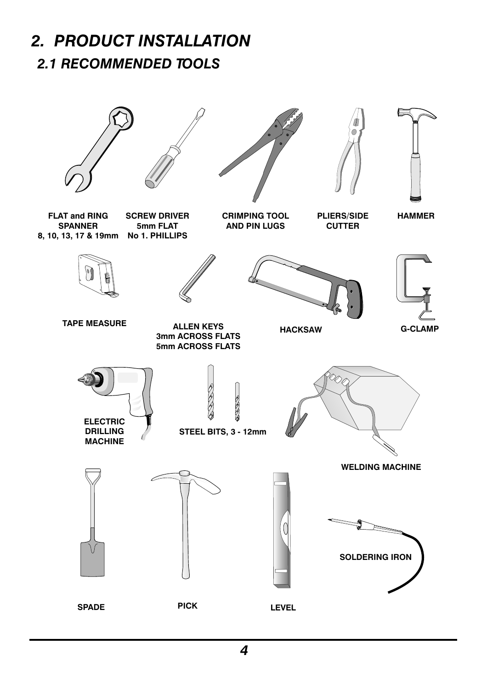## *2.1 RECOMMENDED TOOLS 2. PRODUCT INSTALLATION*

# **STEEL BITS, 3 - 12mm FLAT and RING SPANNER 8, 10, 13, 17 & 19mm No 1. PHILLIPS SCREW DRIVER 5mm FLAT CRIMPING TOOL AND PIN LUGS PLIERS/SIDE CUTTER HAMMER G-CLAMP TAPE MEASURE ALLEN KEYS 3mm ACROSS FLATS 5mm ACROSS FLATS HACKSAW SOLDERING IRON WELDING MACHINE SPADE PICK LEVEL ELECTRIC DRILLING MACHINE**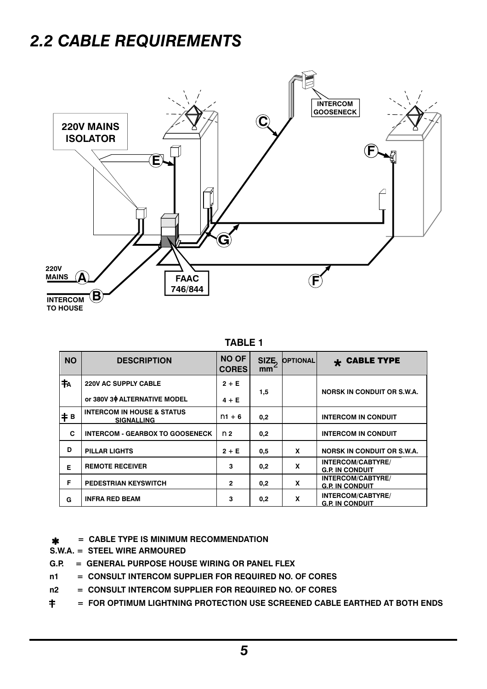# *2.2 CABLE REQUIREMENTS*



**TABLE 1**

| <b>NO</b> | <b>DESCRIPTION</b>                                         | <b>NO OF</b><br><b>CORES</b> | SIZE <sub>1</sub><br>mm | <b>OPTIONAL</b> | $\star$ CABLE TYPE                                 |
|-----------|------------------------------------------------------------|------------------------------|-------------------------|-----------------|----------------------------------------------------|
| †A        | <b>220V AC SUPPLY CABLE</b>                                | $2 + E$                      |                         |                 |                                                    |
|           | or 380V 30 ALTERNATIVE MODEL                               | $4 + E$                      | 1,5                     |                 | <b>NORSK IN CONDUIT OR S.W.A.</b>                  |
| # B       | <b>INTERCOM IN HOUSE &amp; STATUS</b><br><b>SIGNALLING</b> | $n1 + 6$                     | 0,2                     |                 | <b>INTERCOM IN CONDUIT</b>                         |
| c         | <b>INTERCOM - GEARBOX TO GOOSENECK</b>                     | n <sub>2</sub>               | 0,2                     |                 | <b>INTERCOM IN CONDUIT</b>                         |
| D         | PILLAR LIGHTS                                              | $2 + E$                      | 0,5                     | X               | <b>NORSK IN CONDUIT OR S.W.A.</b>                  |
| Е         | <b>REMOTE RECEIVER</b>                                     | 3                            | 0,2                     | X               | <b>INTERCOM/CABTYRE/</b><br><b>G.P. IN CONDUIT</b> |
| Е         | <b>PEDESTRIAN KEYSWITCH</b>                                | $\overline{2}$               | 0,2                     | x               | <b>INTERCOM/CABTYRE/</b><br><b>G.P. IN CONDUIT</b> |
| G         | <b>INFRA RED BEAM</b>                                      | 3                            | 0,2                     | X               | <b>INTERCOM/CABTYRE/</b><br><b>G.P. IN CONDUIT</b> |

**= CABLE TYPE IS MINIMUM RECOMMENDATION**  $\mathbf{\hat{x}}$ 

**S.W.A. = STEEL WIRE ARMOURED**

- **G.P. = GENERAL PURPOSE HOUSE WIRING OR PANEL FLEX**
- **n1 = CONSULT INTERCOM SUPPLIER FOR REQUIRED NO. OF CORES**
- **n2 = CONSULT INTERCOM SUPPLIER FOR REQUIRED NO. OF CORES**
- $\pm$ **= FOR OPTIMUM LIGHTNING PROTECTION USE SCREENED CABLE EARTHED AT BOTH ENDS**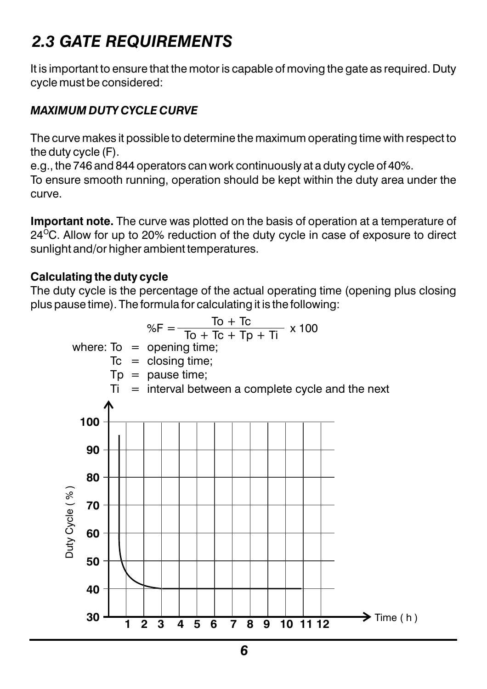# *2.3 GATE REQUIREMENTS*

It is important to ensure that the motor is capable of moving the gate as required. Duty cycle must be considered:

#### *MAXIMUM DUTY CYCLE CURVE*

The curve makes it possible to determine the maximum operating time with respect to the duty cycle (F).

e.g., the 746 and 844 operators can work continuously at a duty cycle of 40%.

To ensure smooth running, operation should be kept within the duty area under the curve.

**Important note.** The curve was plotted on the basis of operation at a temperature of 24 $\mathrm{^{\circ}C}$ . Allow for up to 20% reduction of the duty cycle in case of exposure to direct sunlight and/or higher ambient temperatures.

#### **Calculating the duty cycle**

The duty cycle is the percentage of the actual operating time (opening plus closing plus pause time). The formula for calculating it is the following:

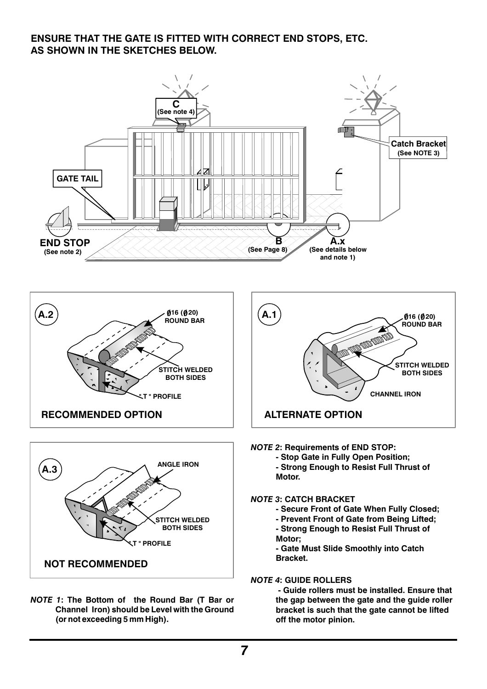#### **ENSURE THAT THE GATE IS FITTED WITH CORRECT END STOPS, ETC. AS SHOWN IN THE SKETCHES BELOW.**







*NOTE 1***: The Bottom of the Round Bar (T Bar or Channel Iron) should be Level with the Ground (or not exceeding 5 mm High).**



#### *NOTE 2***: Requirements of END STOP:**

**- Stop Gate in Fully Open Position;**

**- Strong Enough to Resist Full Thrust of Motor.** 

#### *NOTE 3***: CATCH BRACKET**

- **Secure Front of Gate When Fully Closed;**
- **Prevent Front of Gate from Being Lifted;**
- **Strong Enough to Resist Full Thrust of Motor;**

**- Gate Must Slide Smoothly into Catch Bracket.**

#### *NOTE 4***: GUIDE ROLLERS**

 **- Guide rollers must be installed. Ensure that the gap between the gate and the guide roller bracket is such that the gate cannot be lifted off the motor pinion.**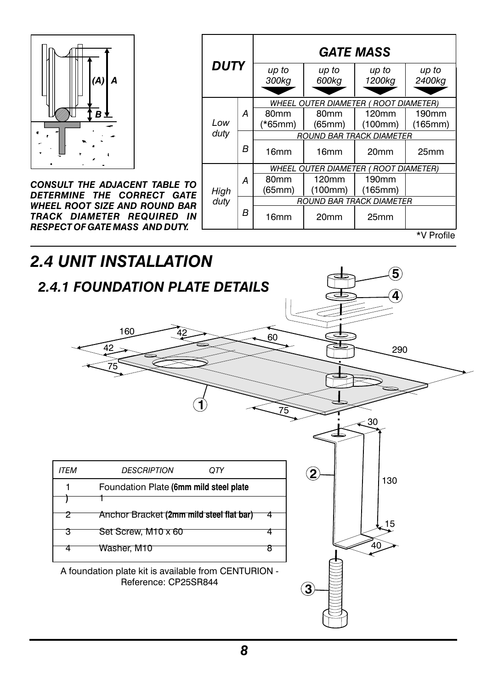

*CONSULT THE ADJACENT TABLE TO DETERMINE THE CORRECT GATE WHEEL ROOT SIZE AND ROUND BAR TRACK DIAMETER REQUIRED IN RESPECT OF GATE MASS AND DUTY.*

| DUTY                                         |   |                          |                  | <b>GATE MASS</b>                      |                   |  |  |
|----------------------------------------------|---|--------------------------|------------------|---------------------------------------|-------------------|--|--|
|                                              |   | up to<br>300kg           | up to<br>600kg   | up to<br>1200kg                       | up to<br>2400kg   |  |  |
|                                              |   |                          |                  | WHEEL OUTER DIAMETER ( ROOT DIAMETER) |                   |  |  |
|                                              | А | 80mm                     | 80 <sub>mm</sub> | 120mm                                 | 190 <sub>mm</sub> |  |  |
| Low<br>duty                                  |   | $(*65mm)$                | (65mm)           | (100mm)                               | (165mm)           |  |  |
|                                              |   | ROUND BAR TRACK DIAMETER |                  |                                       |                   |  |  |
|                                              | В | 16mm                     | 16mm             | 20 <sub>mm</sub>                      | 25 <sub>mm</sub>  |  |  |
| <b>WHEEL OUTER DIAMETER ( ROOT DIAMETER)</b> |   |                          |                  |                                       |                   |  |  |
|                                              | А | 80 <sub>mm</sub>         | 120mm            | 190mm                                 |                   |  |  |
| High                                         |   | (65mm)                   | (100mm)          | (165mm)                               |                   |  |  |
| duty                                         |   | ROUND BAR TRACK DIAMETER |                  |                                       |                   |  |  |
|                                              | в | 16mm                     | 20mm             | 25 <sub>mm</sub>                      |                   |  |  |
|                                              |   |                          |                  |                                       | *V Profile        |  |  |

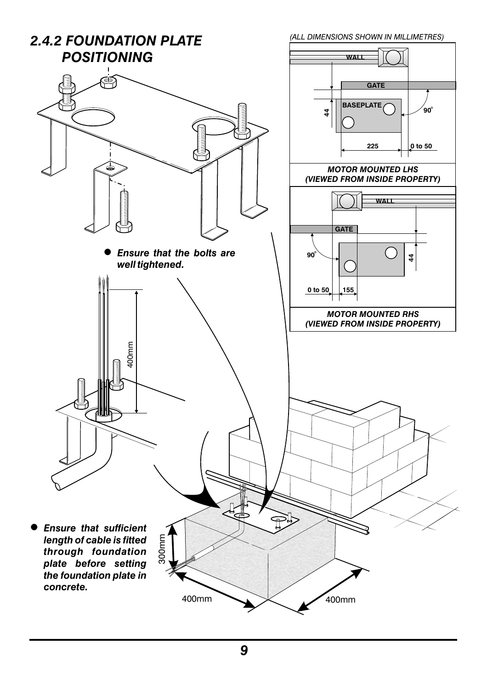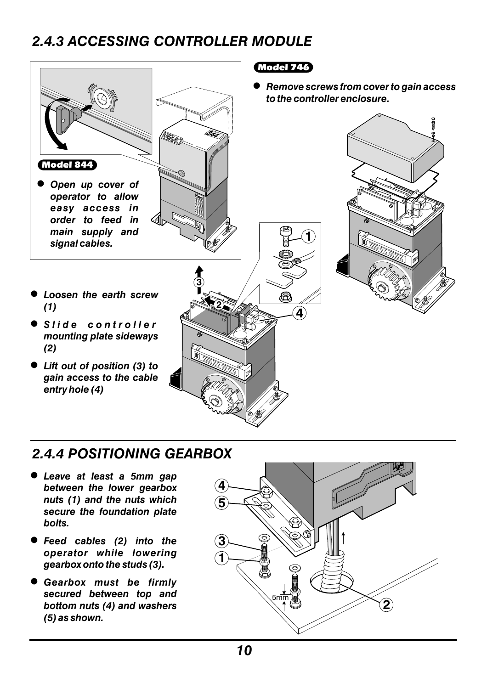## *2.4.3 ACCESSING CONTROLLER MODULE*



### *2.4.4 POSITIONING GEARBOX*

- <sup>l</sup> *Leave at least a 5mm gap between the lower gearbox nuts (1) and the nuts which secure the foundation plate bolts.*
- **•** Feed cables (2) into the *operator while lowering gearbox onto the studs (3).*
- <sup>l</sup> *Gearbox must be firmly secured between top and bottom nuts (4) and washers (5) as shown.*

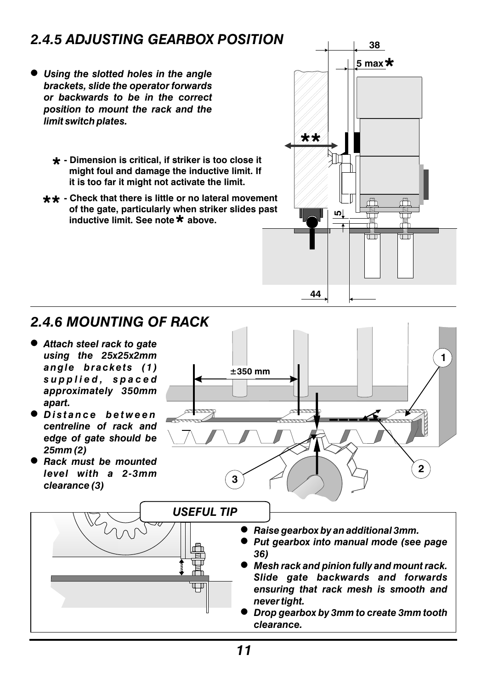## *2.4.5 ADJUSTING GEARBOX POSITION*

- **I** Using the slotted holes in the angle *brackets, slide the operator forwards or backwards to be in the correct position to mount the rack and the limit switch plates.*
	- **Dimension is critical, if striker is too close it might foul and damage the inductive limit. If it is too far it might not activate the limit.**
	- $**$  Check that there is little or no lateral movement  **of the gate, particularly when striker slides past inductive limit. See note**  $\star$  **above.**



## *2.4.6 MOUNTING OF RACK*

- $\bullet$  Attach steel rack to gate *using the 25x25x2mm angle brackets (1) supplied, spaced approximately 350mm apart.*
- <sup>l</sup> *Distance between centreline of rack and edge of gate should be 25mm (2)*
- <sup>l</sup> *Rack must be mounted level with a 2-3mm clearance (3)*



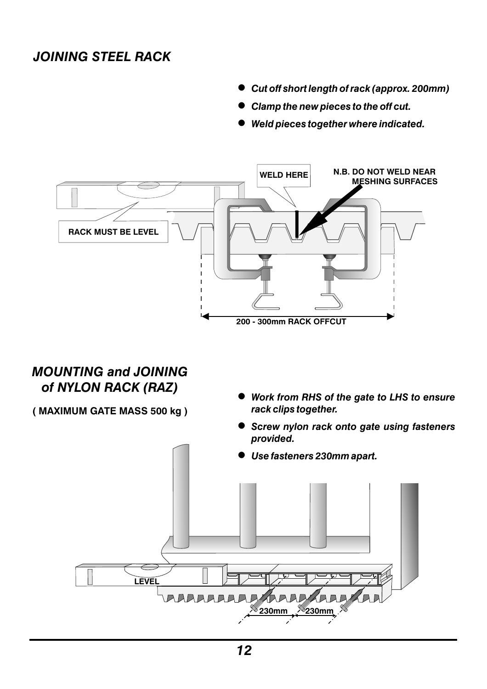### *JOINING STEEL RACK*

- <sup>l</sup> *Cut off short length of rack (approx. 200mm)*
- <sup>l</sup> *Clamp the new pieces to the off cut.*
- <sup>l</sup> *Weld pieces together where indicated.*



#### *MOUNTING and JOINING of NYLON RACK (RAZ)*

- **( MAXIMUM GATE MASS 500 kg )**
- <sup>l</sup> *Work from RHS of the gate to LHS to ensure rack clips together.*
- <sup>l</sup> *Screw nylon rack onto gate using fasteners provided.*
- <sup>l</sup> *Use fasteners 230mm apart.*

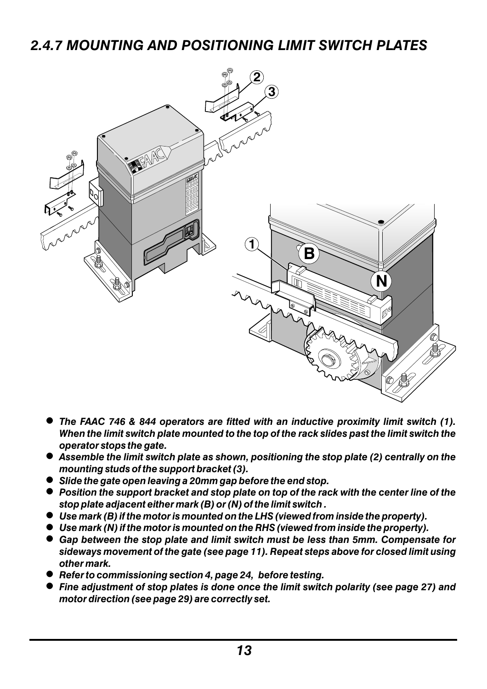## *2.4.7 MOUNTING AND POSITIONING LIMIT SWITCH PLATES*



- <sup>l</sup> *The FAAC 746 & 844 operators are fitted with an inductive proximity limit switch (1). When the limit switch plate mounted to the top of the rack slides past the limit switch the operator stops the gate.*
- **b** Assemble the limit switch plate as shown, positioning the stop plate (2) centrally on the *mounting studs of the support bracket (3).*
- <sup>l</sup> *Slide the gate open leaving a 20mm gap before the end stop.*
- Position the support bracket and stop plate on top of the rack with the center line of the *stop plate adjacent either mark (B) or (N) of the limit switch .*
- Use mark (B) if the motor is mounted on the LHS (viewed from inside the property).
- $\bullet$  Use mark (N) if the motor is mounted on the RHS (viewed from inside the property).
- Gap between the stop plate and limit switch must be less than 5mm. Compensate for *sideways movement of the gate (see page 11). Repeat steps above for closed limit using other mark.*
- <sup>l</sup> *Refer to commissioning section 4, page 24, before testing.*
- <sup>l</sup> *Fine adjustment of stop plates is done once the limit switch polarity (see page 27) and motor direction (see page 29) are correctly set.*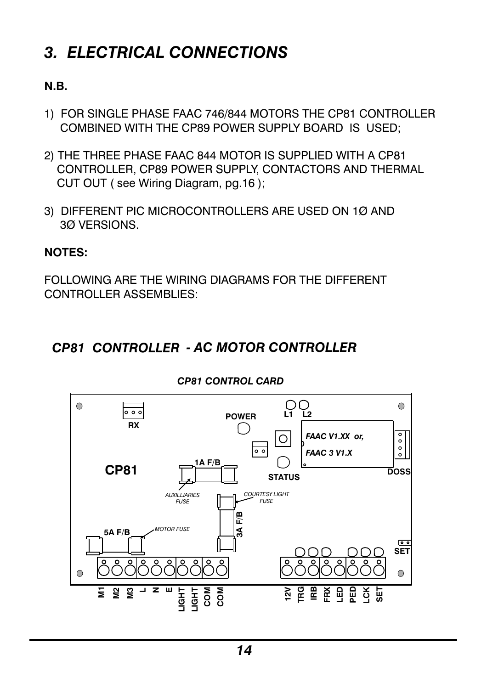# *3. ELECTRICAL CONNECTIONS*

#### **N.B.**

- 1) FOR SINGLE PHASE FAAC 746/844 MOTORS THE CP81 CONTROLLER COMBINED WITH THE CP89 POWER SUPPLY BOARD IS USED;
- 2) THE THREE PHASE FAAC 844 MOTOR IS SUPPLIED WITH A CP81 CONTROLLER, CP89 POWER SUPPLY, CONTACTORS AND THERMAL CUT OUT ( see Wiring Diagram, pg.16 );
- 3) DIFFERENT PIC MICROCONTROLLERS ARE USED ON 1Ø AND 3Ø VERSIONS.

#### **NOTES:**

FOLLOWING ARE THE WIRING DIAGRAMS FOR THE DIFFERENT CONTROLLER ASSEMBLIES:

### *CP81 CONTROLLER - AC MOTOR CONTROLLER*



*CP81 CONTROL CARD*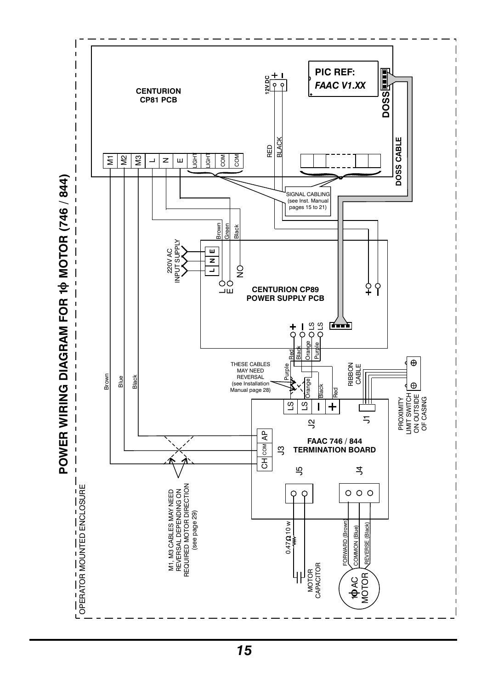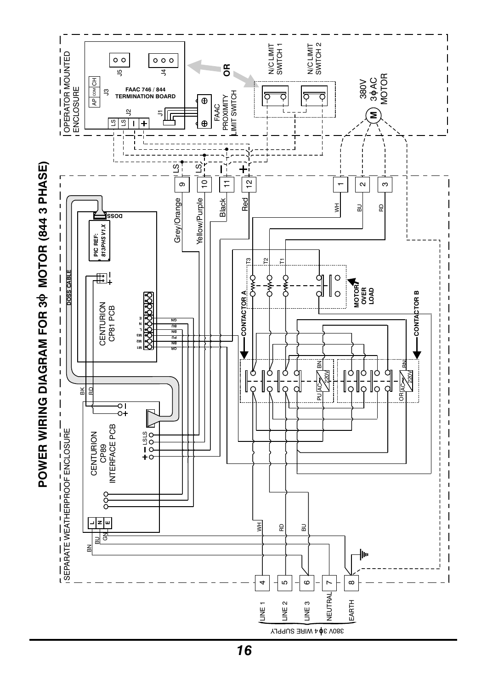

*16*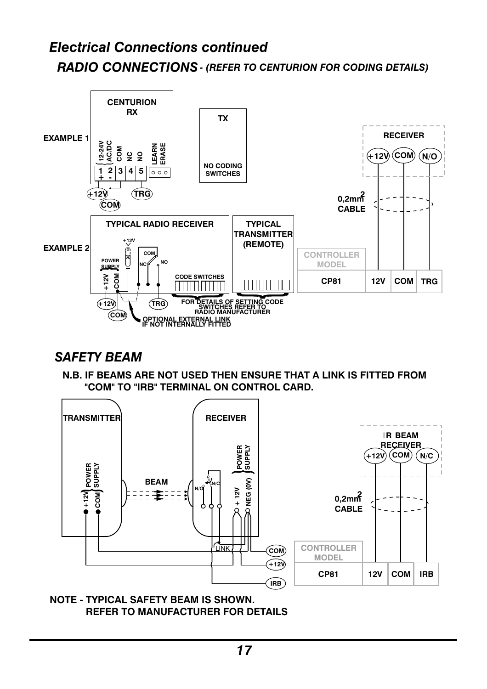## *Electrical Connections continued RADIO CONNECTIONS- (REFER TO CENTURION FOR CODING DETAILS)*



#### *SAFETY BEAM*

**N.B. IF BEAMS ARE NOT USED THEN ENSURE THAT A LINK IS FITTED FROM "COM" TO "IRB" TERMINAL ON CONTROL CARD.**



**NOTE - TYPICAL SAFETY BEAM IS SHOWN. REFER TO MANUFACTURER FOR DETAILS**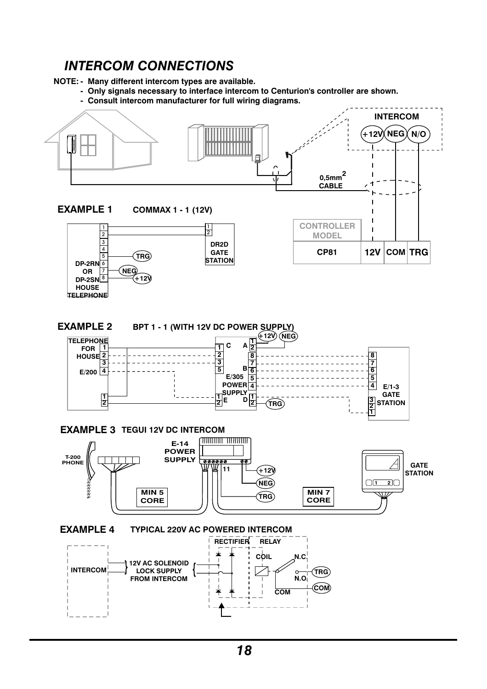#### *INTERCOM CONNECTIONS*

**NOTE: - Many different intercom types are available.**

- **Only signals necessary to interface intercom to Centurion's controller are shown.**
- **Consult intercom manufacturer for full wiring diagrams.**

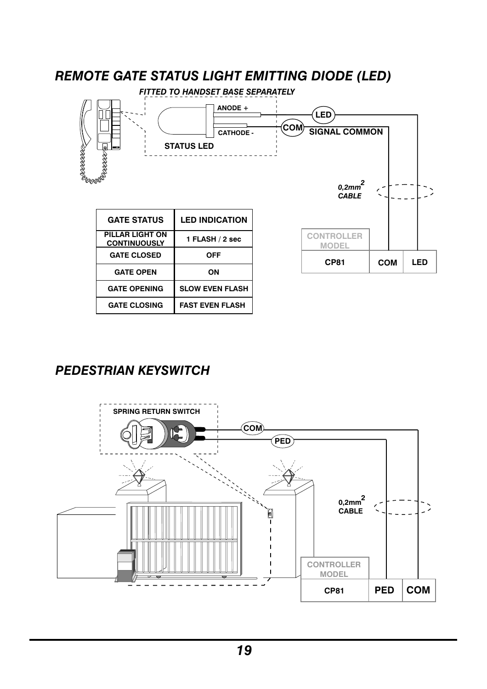

## *PEDESTRIAN KEYSWITCH*

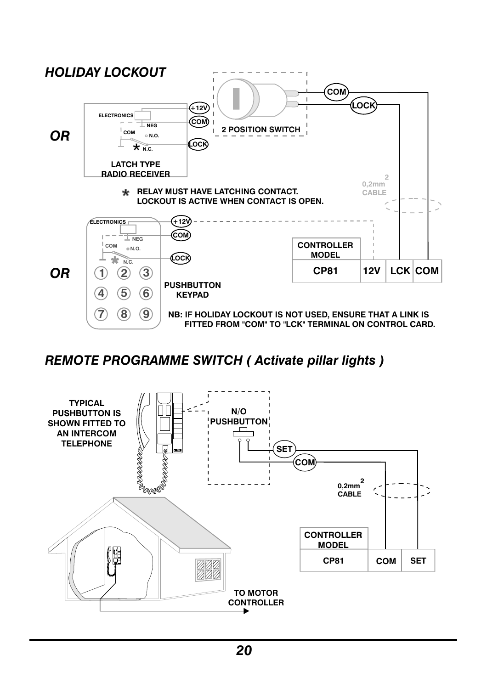

#### *REMOTE PROGRAMME SWITCH ( Activate pillar lights )*

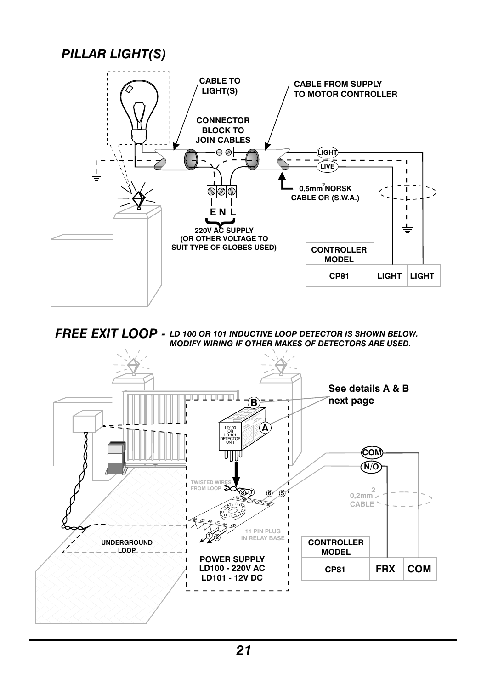#### *PILLAR LIGHT(S)* **CABLE TO CABLE FROM SUPPLY LIGHT(S) TO MOTOR CONTROLLER CONNECTOR BLOCK TO JOIN CABLES** e ⊘ **LIGHT**  $\sim$  $\overline{a}$  $\mathbf{I}$ **LIVE** ï **0,5mm NORSK 2**  $\overline{1}$ ølæ **CABLE OR (S.W.A.)**  $\blacksquare$ **E N L**  $\blacksquare$ **220V AC SUPPLY** } **(OR OTHER VOLTAGE TO SUIT TYPE OF GLOBES USED) CONTROLLER MODEL CP81 LIGHT LIGHT**

*LD 100 OR 101 INDUCTIVE LOOP DETECTOR IS SHOWN BELOW. FREE EXIT LOOP - MODIFY WIRING IF OTHER MAKES OF DETECTORS ARE USED.*

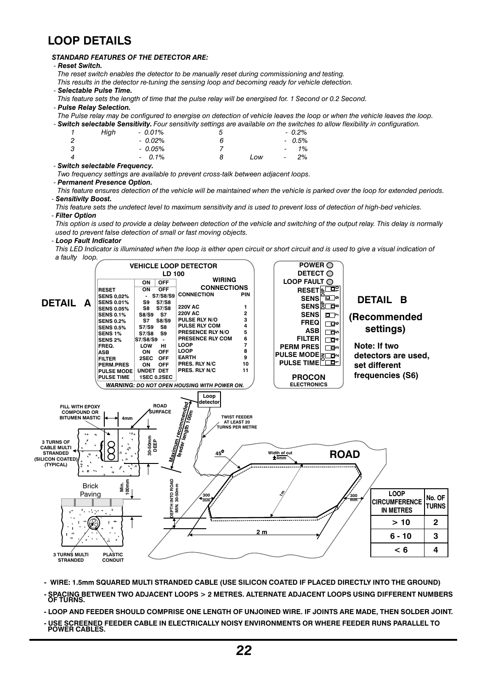#### **LOOP DETAILS**

#### *STANDARD FEATURES OF THE DETECTOR ARE:*

- *- Reset Switch.*
- *The reset switch enables the detector to be manually reset during commissioning and testing.*
- *This results in the detector re-tuning the sensing loop and becoming ready for vehicle detection.*
- *- Selectable Pulse Time.*
- This feature sets the length of time that the pulse relay will be energised for 1 Second or 0.2 Second.
- *- Pulse Relay Selection.*
- The Pulse relay may be configured to energise on detection of vehicle leaves the loop or when the vehicle leaves the loop.<br>- Switch selectable Sensitivity, Four sensitivity settings are available on the switches to allow f es to allow flexibility in configuration.

|   |      |           | <b>ch selectable Sensitivity.</b> Four sensitivity settings are available on the switch |     |                          |          |
|---|------|-----------|-----------------------------------------------------------------------------------------|-----|--------------------------|----------|
|   | Hiah | $-0.01\%$ |                                                                                         |     |                          | $-0.2\%$ |
| 2 |      | $-0.02\%$ |                                                                                         |     |                          | $-0.5%$  |
| 3 |      | $-0.05\%$ |                                                                                         |     | $\overline{\phantom{a}}$ | 1%       |
| 4 |      | $-0.1\%$  |                                                                                         | Low | $\overline{\phantom{a}}$ | 2%       |

*- Switch selectable Frequency.*

*Two frequency settings are available to prevent cross-talk between adjacent loops.*

#### *- Permanent Presence Option.*

This feature ensures detection of the vehicle will be maintained when the vehicle is parked over the loop for extended periods. *- Sensitivity Boost.*

This feature sets the undetect level to maximum sensitivity and is used to prevent loss of detection of high-bed vehicles. *- Filter Option*

This option is used to provide a delay between detection of the vehicle and switching of the output relay. This delay is normally *used to prevent false detection of small or fast moving objects.*

#### *- Loop Fault Indicator*

This LED Indicator is illuminated when the loop is either open circuit or short circuit and is used to give a visual indication of *a faulty loop.*



**- WIRE: 1.5mm SQUARED MULTI STRANDED CABLE (USE SILICON COATED IF PLACED DIRECTLY INTO THE GROUND)**

- SPACING BETWEEN TWO ADJACENT LOOPS > 2 METRES. ALTERNATE ADJACENT LOOPS USING DIFFERENT NUMBERS<br>OF TURNS.

- LOOP AND FEEDER SHOULD COMPRISE ONE LENGTH OF UNJOINED WIRE. IF JOINTS ARE MADE. THEN SOLDER JOINT.

**- USE SCREENED FEEDER CABLE IN ELECTRICALLY NOISY ENVIRONMENTS OR WHERE FEEDER RUNS PARALLEL TO POWER CABLES.**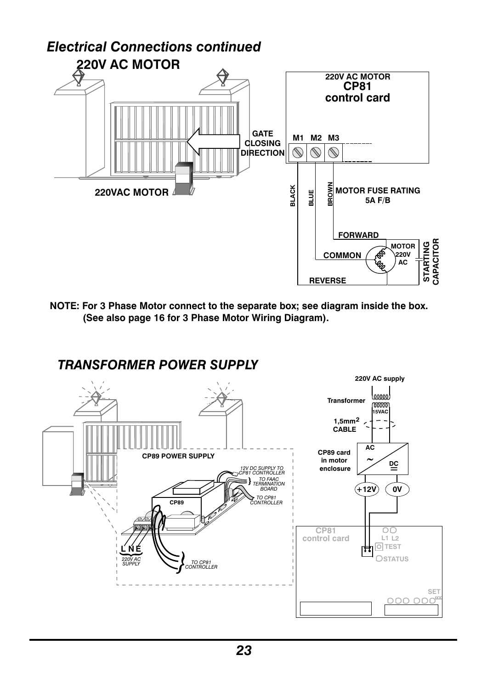

**NOTE: For 3 Phase Motor connect to the separate box; see diagram inside the box. (See also page 16 for 3 Phase Motor Wiring Diagram).**

### *TRANSFORMER POWER SUPPLY*

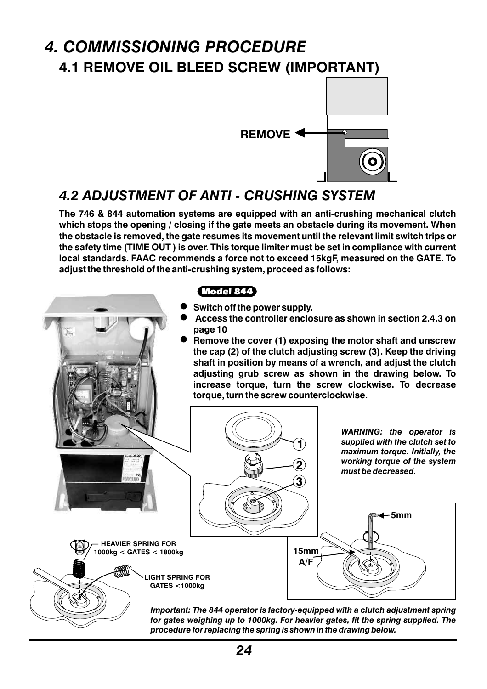## *4. COMMISSIONING PROCEDURE* **4.1 REMOVE OIL BLEED SCREW (IMPORTANT)**



### *4.2 ADJUSTMENT OF ANTI - CRUSHING SYSTEM*

**The 746 & 844 automation systems are equipped with an anti-crushing mechanical clutch which stops the opening / closing if the gate meets an obstacle during its movement. When the obstacle is removed, the gate resumes its movement until the relevant limit switch trips or the safety time (TIME OUT ) is over. This torque limiter must be set in compliance with current local standards. FAAC recommends a force not to exceed 15kgF, measured on the GATE. To adjust the threshold of the anti-crushing system, proceed as follows:**



*procedure for replacing the spring is shown in the drawing below.*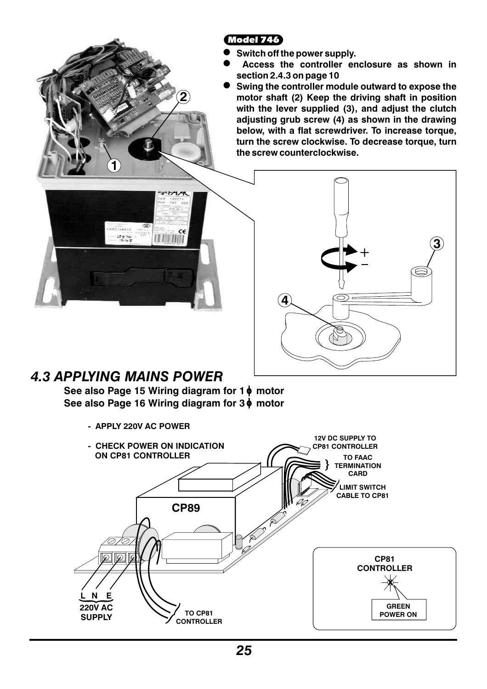Model 746

- $\bullet$ **Switch off the power supply.**
- $\bullet$ **Access the controller enclosure as shown in section 2.4.3 on page 10**
- $\bullet$ **Swing the controller module outward to expose the motor shaft (2) Keep the driving shaft in position with the lever supplied (3), and adjust the clutch adjusting grub screw (4) as shown in the drawing below, with a flat screwdriver. To increase torque, turn the screw clockwise. To decrease torque, turn the screw counterclockwise.**





## *4.3 APPLYING MAINS POWER*

**See also Page 15 Wiring diagram for 1 motor See also Page 16 Wiring diagram for 3 motor**

**2**

**- APPLY 220V AC POWER**

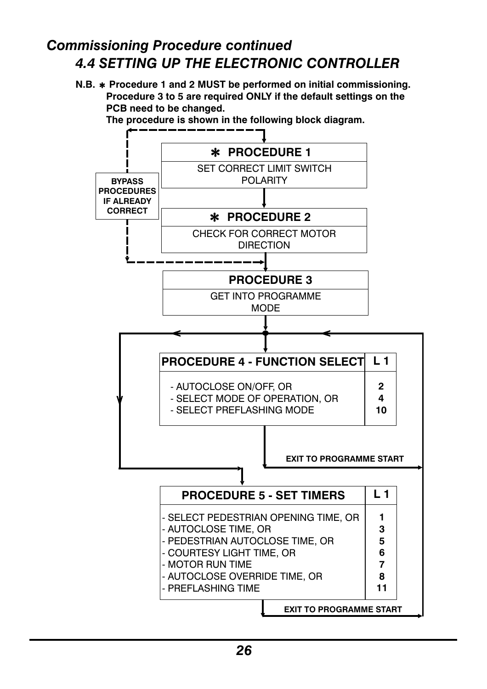## *4.4 SETTING UP THE ELECTRONIC CONTROLLER Commissioning Procedure continued*

**N.B. Procedure 1 and 2 MUST be performed on initial commissioning. Procedure 3 to 5 are required ONLY if the default settings on the PCB need to be changed.**

 **The procedure is shown in the following block diagram.** 

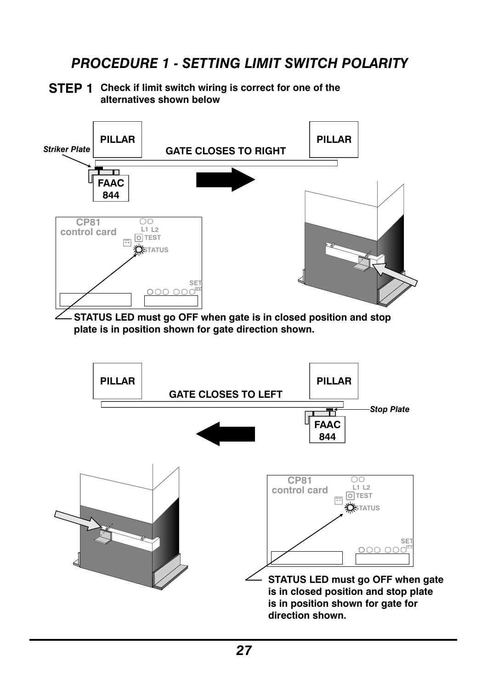## *PROCEDURE 1 - SETTING LIMIT SWITCH POLARITY*

#### **Check if limit switch wiring is correct for one of the STEP 1 alternatives shown below**



**PILLAR PILLAR GATE CLOSES TO LEFT** *Stop Plate* Ŧ **FAAC 844**

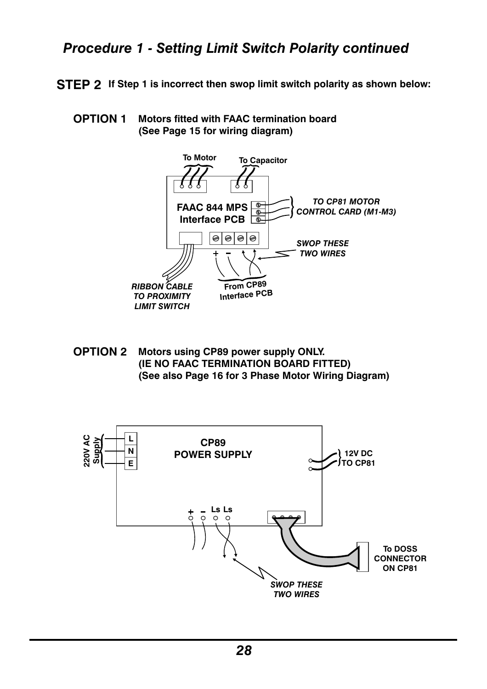### *Procedure 1 - Setting Limit Switch Polarity continued*

- **If Step 1 is incorrect then swop limit switch polarity as shown below: STEP 2**
	- **Motors fitted with FAAC termination board (See Page 15 for wiring diagram) OPTION 1**



**Motors using CP89 power supply ONLY. (IE NO FAAC TERMINATION BOARD FITTED) (See also Page 16 for 3 Phase Motor Wiring Diagram) OPTION 2**

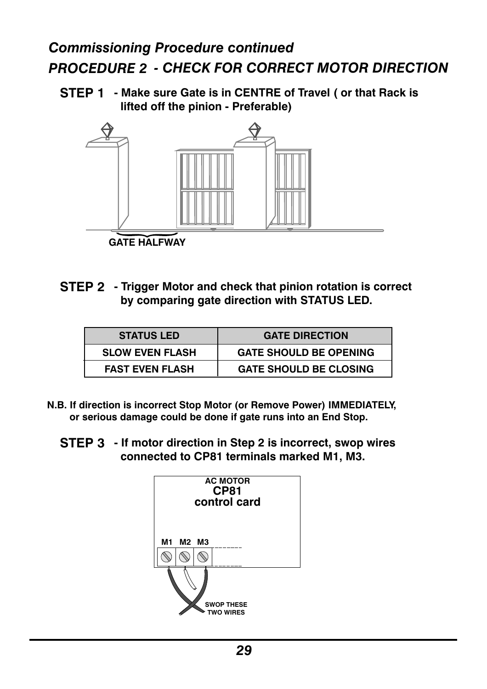## *Commissioning Procedure continued PROCEDURE 2 - CHECK FOR CORRECT MOTOR DIRECTION*

**- Make sure Gate is in CENTRE of Travel ( or that Rack is STEP 1 lifted off the pinion - Preferable)**



**- Trigger Motor and check that pinion rotation is correct STEP 2 by comparing gate direction with STATUS LED.**

| <b>STATUS LED</b>      | <b>GATE DIRECTION</b>         |
|------------------------|-------------------------------|
| <b>SLOW EVEN FLASH</b> | <b>GATE SHOULD BE OPENING</b> |
| <b>FAST EVEN FLASH</b> | <b>GATE SHOULD BE CLOSING</b> |

- **N.B. If direction is incorrect Stop Motor (or Remove Power) IMMEDIATELY, or serious damage could be done if gate runs into an End Stop.**
	- **- If motor direction in Step 2 is incorrect, swop wires STEP 3 connected to CP81 terminals marked M1, M3.**

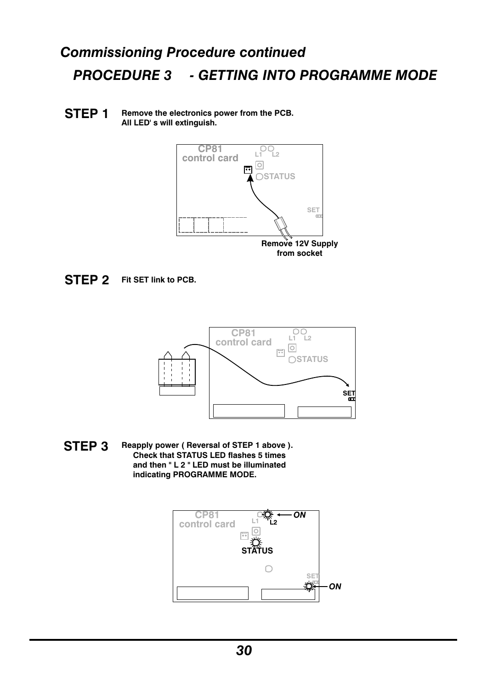# *Commissioning Procedure continued PROCEDURE 3 - GETTING INTO PROGRAMME MODE*

#### **Remove the electronics power from the PCB. All LED' s will extinguish. STEP 1**



#### **Fit SET link to PCB. STEP 2**



**Reapply power ( Reversal of STEP 1 above ). Check that STATUS LED flashes 5 times and then " L 2 " LED must be illuminated indicating PROGRAMME MODE. STEP 3**

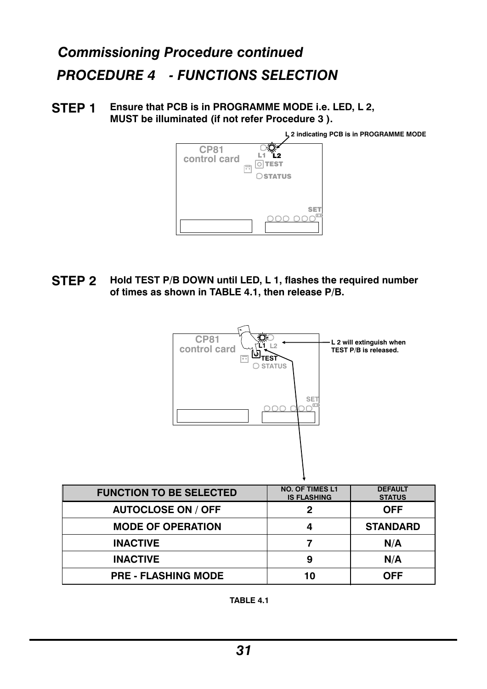## *Commissioning Procedure continued PROCEDURE 4 - FUNCTIONS SELECTION*

**Ensure that PCB is in PROGRAMME MODE i.e. LED, L 2, MUST be illuminated (if not refer Procedure 3 ). STEP 1**



**Hold TEST P/B DOWN until LED, L 1, flashes the required number of times as shown in TABLE 4.1, then release P/B. STEP 2**



| <b>FUNCTION TO BE SELECTED</b> | <b>NO. OF TIMES L1</b><br><b>IS FLASHING</b> | <b>DEFAULT</b><br><b>STATUS</b> |
|--------------------------------|----------------------------------------------|---------------------------------|
| <b>AUTOCLOSE ON / OFF</b>      |                                              | <b>OFF</b>                      |
| <b>MODE OF OPERATION</b>       |                                              | <b>STANDARD</b>                 |
| <b>INACTIVE</b>                |                                              | N/A                             |
| <b>INACTIVE</b>                | 9                                            | N/A                             |
| <b>PRE - FLASHING MODE</b>     | 10                                           | OFF                             |

**TABLE 4.1**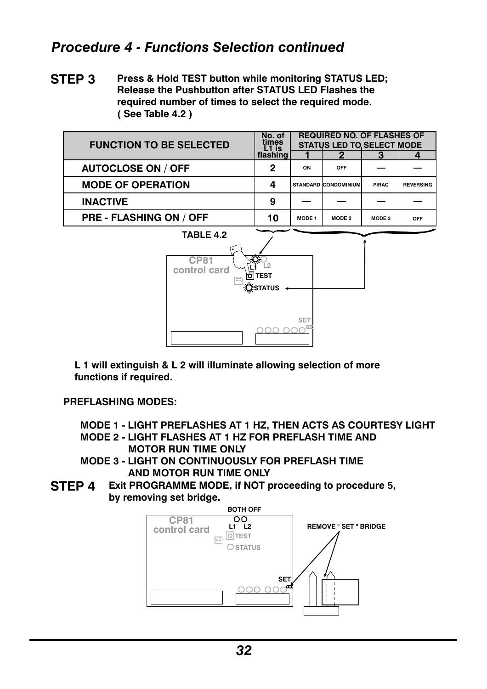### *Procedure 4 - Functions Selection continued*

**Press & Hold TEST button while monitoring STATUS LED; Release the Pushbutton after STATUS LED Flashes the required number of times to select the required mode. ( See Table 4.2 ) STEP 3**

| <b>FUNCTION TO BE SELECTED</b> | No. of<br>times    |               | <b>REQUIRED NO. OF FLASHES OF</b><br><b>STATUS LED TO SELECT MODE</b> |              |                  |
|--------------------------------|--------------------|---------------|-----------------------------------------------------------------------|--------------|------------------|
|                                | L1 is<br> flashing |               |                                                                       |              |                  |
| <b>AUTOCLOSE ON / OFF</b>      | 2                  | ON            | OFF                                                                   |              |                  |
| <b>MODE OF OPERATION</b>       | 4                  |               | <b>STANDARD CONDOMINIUM</b>                                           | <b>PIRAC</b> | <b>REVERSING</b> |
| <b>INACTIVE</b>                | 9                  |               |                                                                       |              |                  |
| <b>PRE - FLASHING ON / OFF</b> | 10                 | <b>MODE 1</b> | MODE 2                                                                | MODE 3       | OFF              |



**L 1 will extinguish & L 2 will illuminate allowing selection of more functions if required.**

**PREFLASHING MODES:**

**MODE 1 - LIGHT PREFLASHES AT 1 HZ, THEN ACTS AS COURTESY LIGHT MODE 2 - LIGHT FLASHES AT 1 HZ FOR PREFLASH TIME AND**

- **MOTOR RUN TIME ONLY MODE 3 - LIGHT ON CONTINUOUSLY FOR PREFLASH TIME**
	- **AND MOTOR RUN TIME ONLY**
- **Exit PROGRAMME MODE, if NOT proceeding to procedure 5, by removing set bridge. STEP 4**

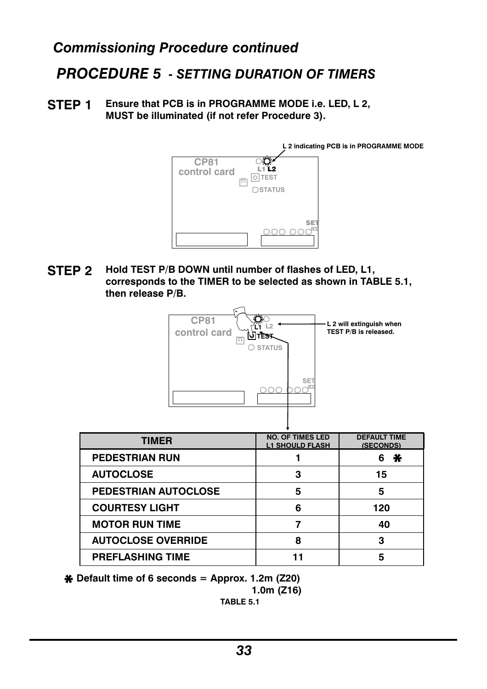### *Commissioning Procedure continued*

## *PROCEDURE 5 - SETTING DURATION OF TIMERS*

**Ensure that PCB is in PROGRAMME MODE i.e. LED, L 2, MUST be illuminated (if not refer Procedure 3). STEP 1**



**Hold TEST P/B DOWN until number of flashes of LED, L1, corresponds to the TIMER to be selected as shown in TABLE 5.1, then release P/B. STEP 2**



| <b>TIMER</b>                | <b>NO. OF TIMES LED</b><br><b>L1 SHOULD FLASH</b> | <b>DEFAULT TIME</b><br>(SECONDS) |
|-----------------------------|---------------------------------------------------|----------------------------------|
| <b>PEDESTRIAN RUN</b>       |                                                   | ⋇<br>6                           |
| <b>AUTOCLOSE</b>            | З                                                 | 15                               |
| <b>PEDESTRIAN AUTOCLOSE</b> | 5                                                 | 5                                |
| <b>COURTESY LIGHT</b>       | 6                                                 | 120                              |
| <b>MOTOR RUN TIME</b>       |                                                   | 40                               |
| <b>AUTOCLOSE OVERRIDE</b>   | 8                                                 | 3                                |
| <b>PREFLASHING TIME</b>     |                                                   |                                  |

**Default time of6 seconds = Approx. 1.2m (Z20)**

$$
1.0m (Z16)
$$

**TABLE 5.1**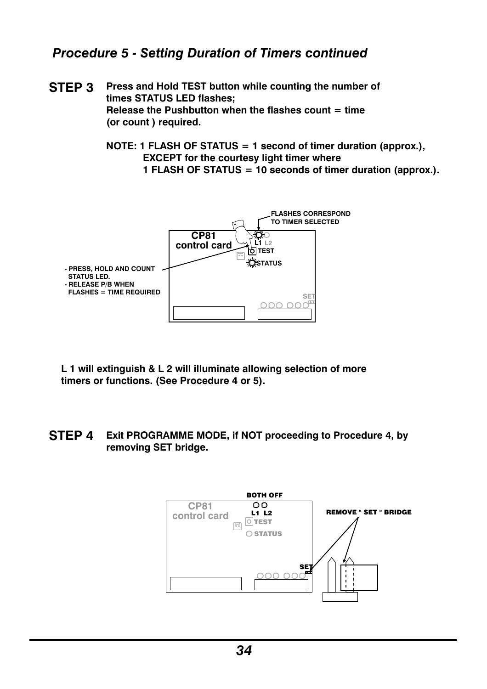#### *Procedure 5 - Setting Duration of Timers continued*

- **Press and Hold TEST button while counting the number of times STATUS LED flashes; Release the Pushbutton when the flashes count = time (or count ) required. STEP 3**
	- **NOTE: 1 FLASH OF STATUS = 1 second of timer duration (approx.), EXCEPT for the courtesy light timer where 1 FLASH OF STATUS = 10 seconds of timer duration (approx.).**



- **L 1 will extinguish & L 2 will illuminate allowing selection of more timers or functions. (See Procedure 4 or 5).**
- **Exit PROGRAMME MODE, if NOT proceeding to Procedure 4, by removing SET bridge. STEP 4**

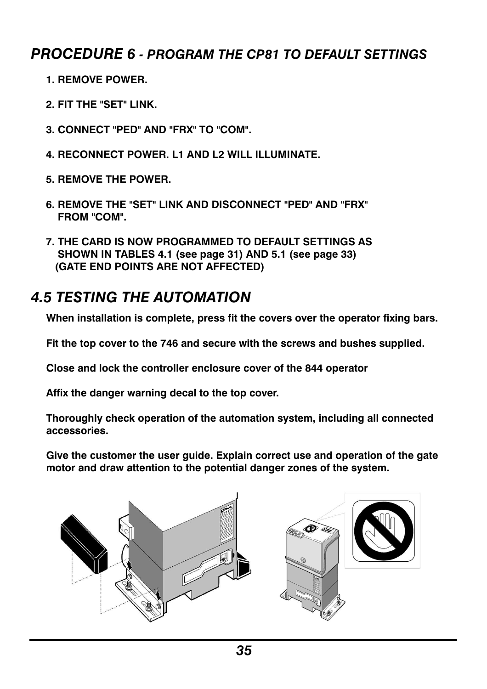### *PROCEDURE 6 - PROGRAM THE CP81 TO DEFAULT SETTINGS*

- **1. REMOVE POWER.**
- **2. FIT THE "SET" LINK.**
- **3. CONNECT "PED" AND "FRX" TO "COM".**
- **4. RECONNECT POWER. L1 AND L2 WILL ILLUMINATE.**
- **5. REMOVE THE POWER.**
- **6. REMOVE THE "SET" LINK AND DISCONNECT "PED" AND "FRX" FROM "COM".**
- **7. THE CARD IS NOW PROGRAMMED TO DEFAULT SETTINGS AS SHOWN IN TABLES 4.1 (see page 31) AND 5.1 (see page 33) (GATE END POINTS ARE NOT AFFECTED)**

## *4.5 TESTING THE AUTOMATION*

**When installation is complete, press fit the covers over the operator fixing bars.**

**Fit the top cover to the 746 and secure with the screws and bushes supplied.**

**Close and lock the controller enclosure cover of the 844 operator**

**Affix the danger warning decal to the top cover.**

**Thoroughly check operation of the automation system, including all connected accessories.**

**Give the customer the user guide. Explain correct use and operation of the gate motor and draw attention to the potential danger zones of the system.**

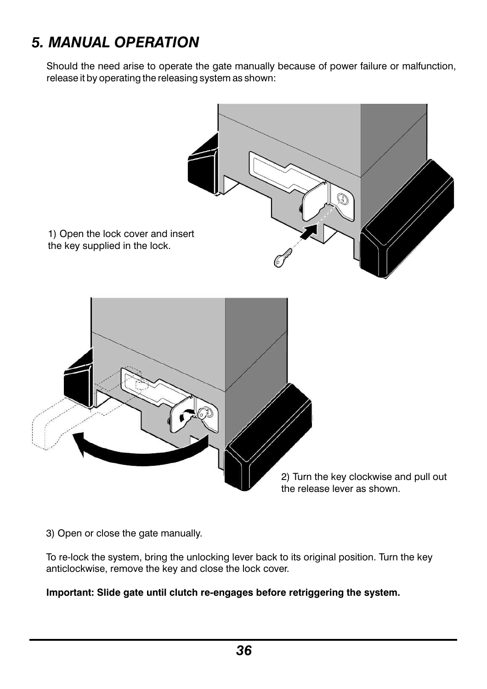## *5. MANUAL OPERATION*

Should the need arise to operate the gate manually because of power failure or malfunction, release it by operating the releasing system as shown:



3) Open or close the gate manually.

To re-lock the system, bring the unlocking lever back to its original position. Turn the key anticlockwise, remove the key and close the lock cover.

#### **Important: Slide gate until clutch re-engages before retriggering the system.**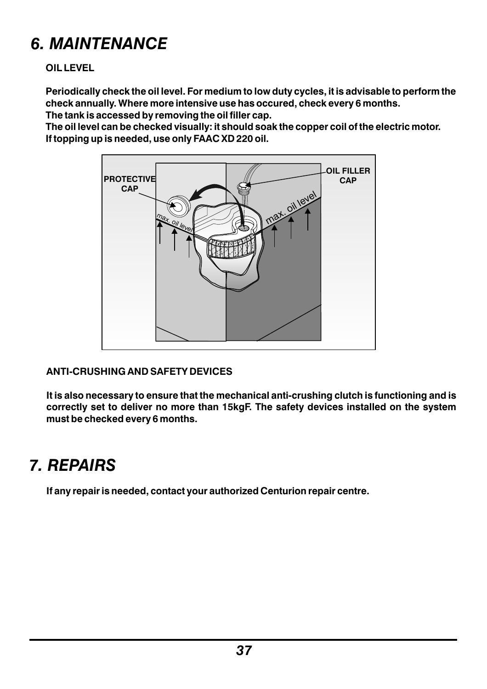# *6. MAINTENANCE*

#### **OIL LEVEL**

**Periodically check the oil level. For medium to low duty cycles, it is advisable to perform the check annually. Where more intensive use has occured, check every 6 months.**

**The tank is accessed by removing the oil filler cap.**

**The oil level can be checked visually: it should soak the copper coil of the electric motor. If topping up is needed, use only FAAC XD 220 oil.** 



#### **ANTI-CRUSHING AND SAFETY DEVICES**

**It is also necessary to ensure that the mechanical anti-crushing clutch is functioning and is correctly set to deliver no more than 15kgF. The safety devices installed on the system must be checked every 6 months.**

# *7. REPAIRS*

**If any repair is needed, contact your authorized Centurion repair centre.**